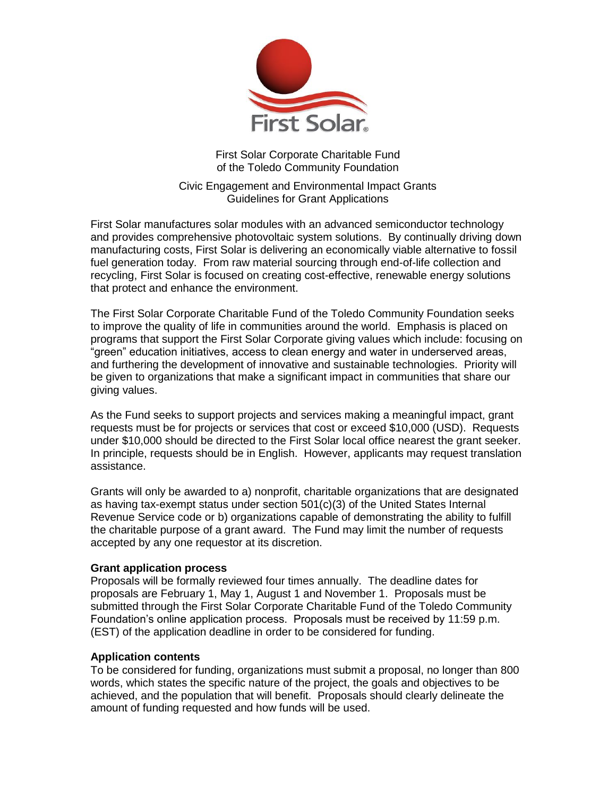

First Solar Corporate Charitable Fund of the Toledo Community Foundation

Civic Engagement and Environmental Impact Grants Guidelines for Grant Applications

First Solar manufactures solar modules with an advanced semiconductor technology and provides comprehensive photovoltaic system solutions. By continually driving down manufacturing costs, First Solar is delivering an economically viable alternative to fossil fuel generation today. From raw material sourcing through end-of-life collection and recycling, First Solar is focused on creating cost-effective, renewable energy solutions that protect and enhance the environment.

The First Solar Corporate Charitable Fund of the Toledo Community Foundation seeks to improve the quality of life in communities around the world. Emphasis is placed on programs that support the First Solar Corporate giving values which include: focusing on "green" education initiatives, access to clean energy and water in underserved areas, and furthering the development of innovative and sustainable technologies. Priority will be given to organizations that make a significant impact in communities that share our giving values.

As the Fund seeks to support projects and services making a meaningful impact, grant requests must be for projects or services that cost or exceed \$10,000 (USD). Requests under \$10,000 should be directed to the First Solar local office nearest the grant seeker. In principle, requests should be in English. However, applicants may request translation assistance.

Grants will only be awarded to a) nonprofit, charitable organizations that are designated as having tax-exempt status under section 501(c)(3) of the United States Internal Revenue Service code or b) organizations capable of demonstrating the ability to fulfill the charitable purpose of a grant award. The Fund may limit the number of requests accepted by any one requestor at its discretion.

### **Grant application process**

Proposals will be formally reviewed four times annually. The deadline dates for proposals are February 1, May 1, August 1 and November 1. Proposals must be submitted through the First Solar Corporate Charitable Fund of the Toledo Community Foundation's online application process. Proposals must be received by 11:59 p.m. (EST) of the application deadline in order to be considered for funding.

### **Application contents**

To be considered for funding, organizations must submit a proposal, no longer than 800 words, which states the specific nature of the project, the goals and objectives to be achieved, and the population that will benefit. Proposals should clearly delineate the amount of funding requested and how funds will be used.